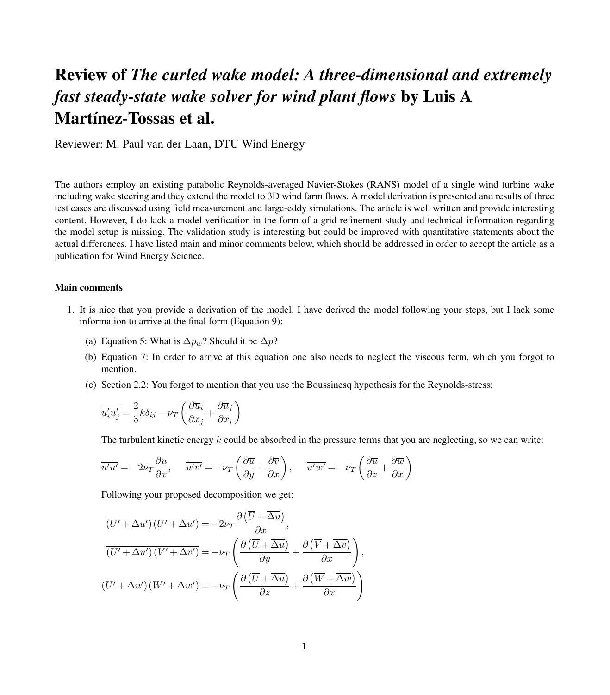## Review of *The curled wake model: A three-dimensional and extremely fast steady-state wake solver for wind plant flows* by Luis A Martínez-Tossas et al.

Reviewer: M. Paul van der Laan, DTU Wind Energy

The authors employ an existing parabolic Reynolds-averaged Navier-Stokes (RANS) model of a single wind turbine wake including wake steering and they extend the model to 3D wind farm flows. A model derivation is presented and results of three test cases are discussed using field measurement and large-eddy simulations. The article is well written and provide interesting content. However, I do lack a model verification in the form of a grid refinement study and technical information regarding the model setup is missing. The validation study is interesting but could be improved with quantitative statements about the actual differences. I have listed main and minor comments below, which should be addressed in order to accept the article as a publication for Wind Energy Science.

## Main comments

- 1. It is nice that you provide a derivation of the model. I have derived the model following your steps, but I lack some information to arrive at the final form (Equation 9):
	- (a) Equation 5: What is  $\Delta p_w$ ? Should it be  $\Delta p$ ?
	- (b) Equation 7: In order to arrive at this equation one also needs to neglect the viscous term, which you forgot to mention.
	- (c) Section 2.2: You forgot to mention that you use the Boussinesq hypothesis for the Reynolds-stress:

$$
\overline{u_i'u_j'} = \frac{2}{3}k\delta_{ij} - \nu_T \left(\frac{\partial \overline{u}_i}{\partial x_j} + \frac{\partial \overline{u}_j}{\partial x_i}\right)
$$

The turbulent kinetic energy  $k$  could be absorbed in the pressure terms that you are neglecting, so we can write:

$$
\overline{u'u'} = -2\nu_T \frac{\partial u}{\partial x}, \quad \overline{u'v'} = -\nu_T \left( \frac{\partial \overline{u}}{\partial y} + \frac{\partial \overline{v}}{\partial x} \right), \quad \overline{u'w'} = -\nu_T \left( \frac{\partial \overline{u}}{\partial z} + \frac{\partial \overline{w}}{\partial x} \right)
$$

Following your proposed decomposition we get:

$$
\overline{(U' + \Delta u')(U' + \Delta u')} = -2\nu_T \frac{\partial (\overline{U} + \overline{\Delta u})}{\partial x},
$$

$$
\overline{(U' + \Delta u')(V' + \Delta v')} = -\nu_T \left( \frac{\partial (\overline{U} + \overline{\Delta u})}{\partial y} + \frac{\partial (\overline{V} + \overline{\Delta v})}{\partial x} \right),
$$

$$
\overline{(U' + \Delta u')(W' + \Delta w')} = -\nu_T \left( \frac{\partial (\overline{U} + \overline{\Delta u})}{\partial z} + \frac{\partial (\overline{W} + \overline{\Delta w})}{\partial x} \right)
$$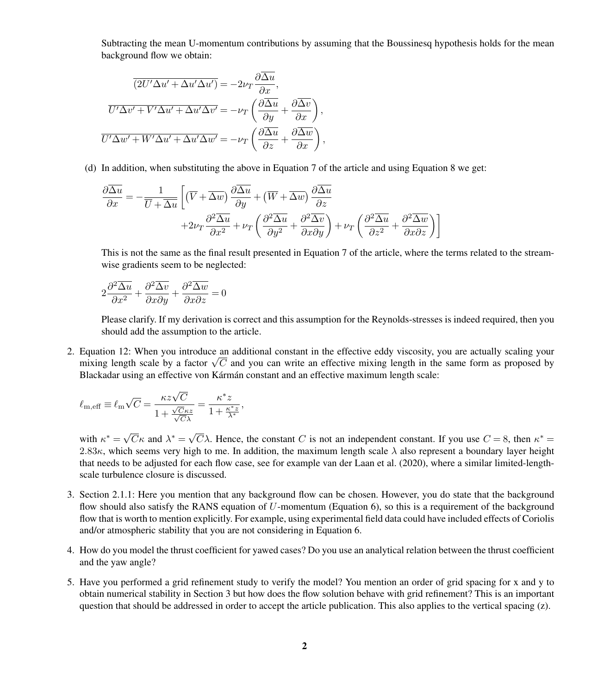Subtracting the mean U-momentum contributions by assuming that the Boussinesq hypothesis holds for the mean background flow we obtain:

$$
\overline{(2U'\Delta u' + \Delta u'\Delta u')} = -2\nu_T \frac{\partial \overline{\Delta u}}{\partial x},
$$

$$
\overline{U'\Delta v' + V'\Delta u' + \Delta u'\Delta v'} = -\nu_T \left(\frac{\partial \overline{\Delta u}}{\partial y} + \frac{\partial \overline{\Delta v}}{\partial x}\right),
$$

$$
\overline{U'\Delta w' + W'\Delta u' + \Delta u'\Delta w'} = -\nu_T \left(\frac{\partial \overline{\Delta u}}{\partial z} + \frac{\partial \overline{\Delta w}}{\partial x}\right),
$$

(d) In addition, when substituting the above in Equation 7 of the article and using Equation 8 we get:

$$
\frac{\partial \overline{\Delta u}}{\partial x} = -\frac{1}{\overline{U} + \overline{\Delta u}} \left[ \left( \overline{V} + \overline{\Delta w} \right) \frac{\partial \overline{\Delta u}}{\partial y} + \left( \overline{W} + \overline{\Delta w} \right) \frac{\partial \overline{\Delta u}}{\partial z} + 2\nu_T \frac{\partial^2 \overline{\Delta u}}{\partial x^2} + \nu_T \left( \frac{\partial^2 \overline{\Delta u}}{\partial y^2} + \frac{\partial^2 \overline{\Delta v}}{\partial x \partial y} \right) + \nu_T \left( \frac{\partial^2 \overline{\Delta u}}{\partial z^2} + \frac{\partial^2 \overline{\Delta w}}{\partial x \partial z} \right) \right]
$$

This is not the same as the final result presented in Equation 7 of the article, where the terms related to the streamwise gradients seem to be neglected:

$$
2\frac{\partial^2 \overline{\Delta u}}{\partial x^2} + \frac{\partial^2 \overline{\Delta v}}{\partial x \partial y} + \frac{\partial^2 \overline{\Delta w}}{\partial x \partial z} = 0
$$

Please clarify. If my derivation is correct and this assumption for the Reynolds-stresses is indeed required, then you should add the assumption to the article.

2. Equation 12: When you introduce an additional constant in the effective eddy viscosity, you are actually scaling your Equation 12: when you introduce an additional constant in the effective eddy viscosity, you are actually scaling your<br>mixing length scale by a factor  $\sqrt{C}$  and you can write an effective mixing length in the same form a Blackadar using an effective von Kármán constant and an effective maximum length scale:

$$
\ell_{\rm m,eff} \equiv \ell_{\rm m} \sqrt{C} = \frac{\kappa z \sqrt{C}}{1 + \frac{\sqrt{C} \kappa z}{\sqrt{C} \lambda}} = \frac{\kappa^* z}{1 + \frac{\kappa^* z}{\lambda^*}},
$$

with  $\kappa^* = \sqrt{\frac{1}{2}}$  $\overline{C}\kappa$  and  $\lambda^* = \sqrt{\frac{C}{C}}$  $\overline{C} \lambda$ . Hence, the constant C is not an independent constant. If you use  $C = 8$ , then  $\kappa^* =$ 2.83 $\kappa$ , which seems very high to me. In addition, the maximum length scale  $\lambda$  also represent a boundary layer height that needs to be adjusted for each flow case, see for example [van der Laan et al.](#page-3-0) [\(2020\)](#page-3-0), where a similar limited-lengthscale turbulence closure is discussed.

- 3. Section 2.1.1: Here you mention that any background flow can be chosen. However, you do state that the background flow should also satisfy the RANS equation of U-momentum (Equation 6), so this is a requirement of the background flow that is worth to mention explicitly. For example, using experimental field data could have included effects of Coriolis and/or atmospheric stability that you are not considering in Equation 6.
- 4. How do you model the thrust coefficient for yawed cases? Do you use an analytical relation between the thrust coefficient and the yaw angle?
- 5. Have you performed a grid refinement study to verify the model? You mention an order of grid spacing for x and y to obtain numerical stability in Section 3 but how does the flow solution behave with grid refinement? This is an important question that should be addressed in order to accept the article publication. This also applies to the vertical spacing (z).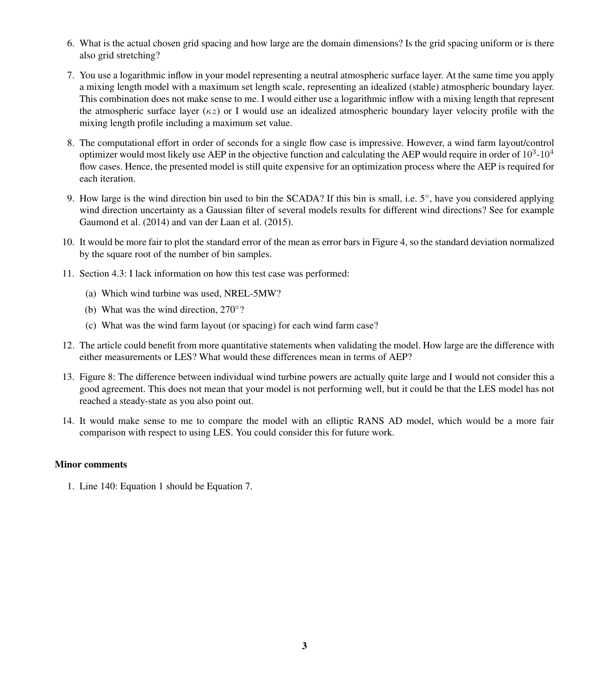- 6. What is the actual chosen grid spacing and how large are the domain dimensions? Is the grid spacing uniform or is there also grid stretching?
- 7. You use a logarithmic inflow in your model representing a neutral atmospheric surface layer. At the same time you apply a mixing length model with a maximum set length scale, representing an idealized (stable) atmospheric boundary layer. This combination does not make sense to me. I would either use a logarithmic inflow with a mixing length that represent the atmospheric surface layer ( $\kappa z$ ) or I would use an idealized atmospheric boundary layer velocity profile with the mixing length profile including a maximum set value.
- 8. The computational effort in order of seconds for a single flow case is impressive. However, a wind farm layout/control optimizer would most likely use AEP in the objective function and calculating the AEP would require in order of  $10^3$ - $10^4$ flow cases. Hence, the presented model is still quite expensive for an optimization process where the AEP is required for each iteration.
- 9. How large is the wind direction bin used to bin the SCADA? If this bin is small, i.e. 5°, have you considered applying wind direction uncertainty as a Gaussian filter of several models results for different wind directions? See for example [Gaumond et al.](#page-3-1) [\(2014\)](#page-3-1) and [van der Laan et al.](#page-3-2) [\(2015\)](#page-3-2).
- 10. It would be more fair to plot the standard error of the mean as error bars in Figure 4, so the standard deviation normalized by the square root of the number of bin samples.
- 11. Section 4.3: I lack information on how this test case was performed:
	- (a) Which wind turbine was used, NREL-5MW?
	- (b) What was the wind direction, 270◦ ?
	- (c) What was the wind farm layout (or spacing) for each wind farm case?
- 12. The article could benefit from more quantitative statements when validating the model. How large are the difference with either measurements or LES? What would these differences mean in terms of AEP?
- 13. Figure 8: The difference between individual wind turbine powers are actually quite large and I would not consider this a good agreement. This does not mean that your model is not performing well, but it could be that the LES model has not reached a steady-state as you also point out.
- 14. It would make sense to me to compare the model with an elliptic RANS AD model, which would be a more fair comparison with respect to using LES. You could consider this for future work.

## Minor comments

1. Line 140: Equation 1 should be Equation 7.